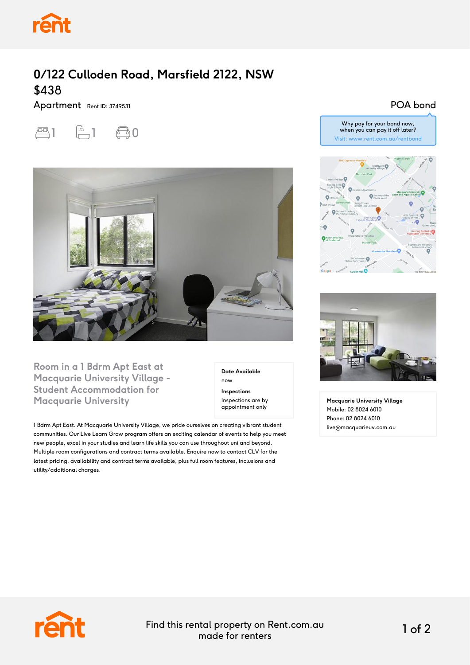

## **0/122 Culloden Road, Marsfield 2122, NSW** \$438

Apartment Rent ID: 3749531





**Room in a 1 Bdrm Apt East at Macquarie University Village - Student Accommodation for Macquarie University**

**Date Available** now

**Inspections** Inspections are by appointment only

1 Bdrm Apt East. At Macquarie University Village, we pride ourselves on creating vibrant student communities. Our Live Learn Grow program offers an exciting calendar of events to help you meet new people, excel in your studies and learn life skills you can use throughout uni and beyond. Multiple room configurations and contract terms available. Enquire now to contact CLV for the latest pricing, availability and contract terms available, plus full room features, inclusions and utility/additional charges.

## POA bond

Why pay for your bond now, when you can pay it off later? Visit: www.rent.com.au/rentbond





**Macquarie University Village** Mobile: 02 8024 6010 Phone: 02 8024 6010 live@macquarieuv.com.au